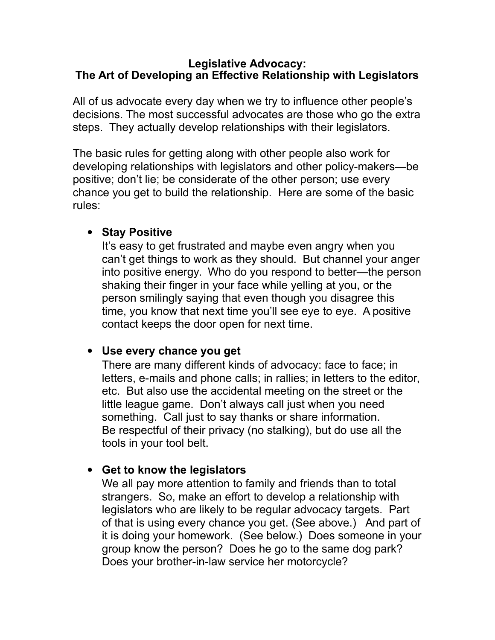#### **Legislative Advocacy: The Art of Developing an Effective Relationship with Legislators**

All of us advocate every day when we try to influence other people's decisions. The most successful advocates are those who go the extra steps. They actually develop relationships with their legislators.

The basic rules for getting along with other people also work for developing relationships with legislators and other policy-makers—be positive; don't lie; be considerate of the other person; use every chance you get to build the relationship. Here are some of the basic rules:

#### **• Stay Positive**

It's easy to get frustrated and maybe even angry when you can't get things to work as they should. But channel your anger into positive energy. Who do you respond to better—the person shaking their finger in your face while yelling at you, or the person smilingly saying that even though you disagree this time, you know that next time you'll see eye to eye. A positive contact keeps the door open for next time.

### **Use every chance you get**

There are many different kinds of advocacy: face to face; in letters, e-mails and phone calls; in rallies; in letters to the editor, etc. But also use the accidental meeting on the street or the little league game. Don't always call just when you need something. Call just to say thanks or share information. Be respectful of their privacy (no stalking), but do use all the tools in your tool belt.

### **Get to know the legislators**

We all pay more attention to family and friends than to total strangers. So, make an effort to develop a relationship with legislators who are likely to be regular advocacy targets. Part of that is using every chance you get. (See above.) And part of it is doing your homework. (See below.) Does someone in your group know the person? Does he go to the same dog park? Does your brother-in-law service her motorcycle?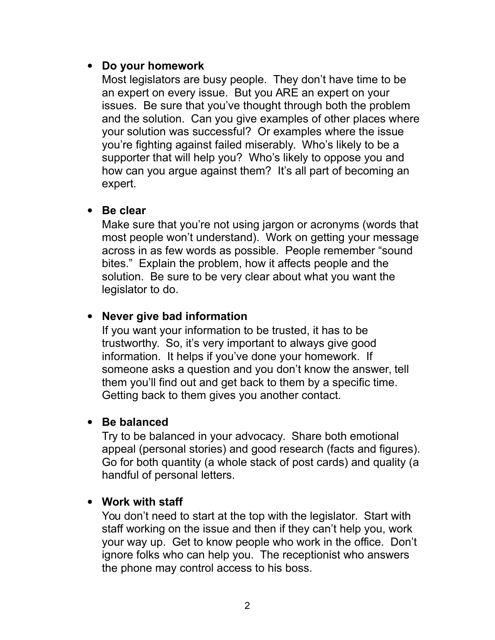### **Do your homework**

Most legislators are busy people. They don't have time to be an expert on every issue. But you ARE an expert on your issues. Be sure that you've thought through both the problem and the solution. Can you give examples of other places where your solution was successful? Or examples where the issue you're fighting against failed miserably. Who's likely to be a supporter that will help you? Who's likely to oppose you and how can you argue against them? It's all part of becoming an expert.

### **Be clear**

Make sure that you're not using jargon or acronyms (words that most people won't understand). Work on getting your message across in as few words as possible. People remember "sound bites." Explain the problem, how it affects people and the solution. Be sure to be very clear about what you want the legislator to do.

### **Never give bad information**

If you want your information to be trusted, it has to be trustworthy. So, it's very important to always give good information. It helps if you've done your homework. If someone asks a question and you don't know the answer, tell them you'll find out and get back to them by a specific time. Getting back to them gives you another contact.

### **Be balanced**

Try to be balanced in your advocacy. Share both emotional appeal (personal stories) and good research (facts and figures). Go for both quantity (a whole stack of post cards) and quality (a handful of personal letters.

#### **Work with staff**

You don't need to start at the top with the legislator. Start with staff working on the issue and then if they can't help you, work your way up. Get to know people who work in the office. Don't ignore folks who can help you. The receptionist who answers the phone may control access to his boss.